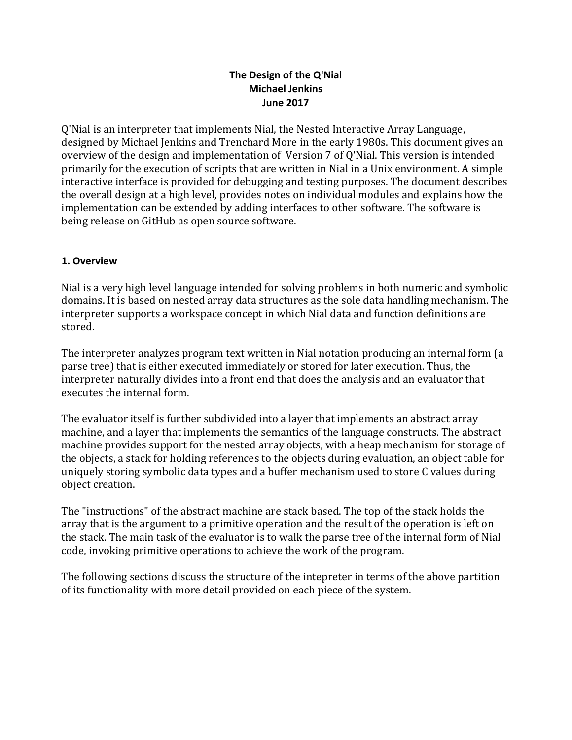# The Design of the Q'Nial **Michael Jenkins June 2017**

Q'Nial is an interpreter that implements Nial, the Nested Interactive Array Language, designed by Michael Jenkins and Trenchard More in the early 1980s. This document gives an overview of the design and implementation of Version 7 of Q'Nial. This version is intended primarily for the execution of scripts that are written in Nial in a Unix environment. A simple interactive interface is provided for debugging and testing purposes. The document describes the overall design at a high level, provides notes on individual modules and explains how the implementation can be extended by adding interfaces to other software. The software is being release on GitHub as open source software.

## **1. Overview**

Nial is a very high level language intended for solving problems in both numeric and symbolic domains. It is based on nested array data structures as the sole data handling mechanism. The interpreter supports a workspace concept in which Nial data and function definitions are stored.

The interpreter analyzes program text written in Nial notation producing an internal form (a parse tree) that is either executed immediately or stored for later execution. Thus, the interpreter naturally divides into a front end that does the analysis and an evaluator that executes the internal form.

The evaluator itself is further subdivided into a layer that implements an abstract array machine, and a layer that implements the semantics of the language constructs. The abstract machine provides support for the nested array objects, with a heap mechanism for storage of the objects, a stack for holding references to the objects during evaluation, an object table for uniquely storing symbolic data types and a buffer mechanism used to store C values during object creation.

The "instructions" of the abstract machine are stack based. The top of the stack holds the array that is the argument to a primitive operation and the result of the operation is left on the stack. The main task of the evaluator is to walk the parse tree of the internal form of Nial code, invoking primitive operations to achieve the work of the program.

The following sections discuss the structure of the intepreter in terms of the above partition of its functionality with more detail provided on each piece of the system.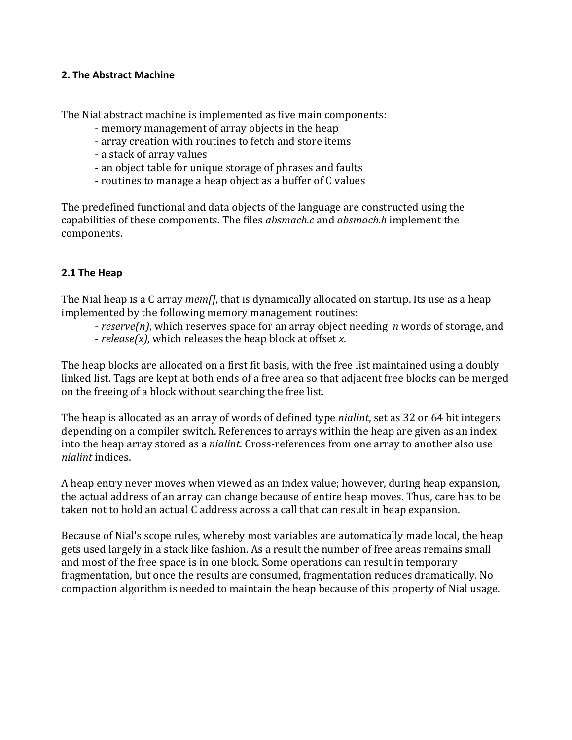#### **2. The Abstract Machine**

The Nial abstract machine is implemented as five main components:

- memory management of array objects in the heap
- array creation with routines to fetch and store items
- a stack of array values
- an object table for unique storage of phrases and faults
- routines to manage a heap object as a buffer of C values

The predefined functional and data objects of the language are constructed using the capabilities of these components. The files *absmach.c* and *absmach.h* implement the components.

## **2.1 The Heap**

The Nial heap is a C array *mem*[*]*, that is dynamically allocated on startup. Its use as a heap implemented by the following memory management routines:

- *reserve(n)*, which reserves space for an array object needing *n* words of storage, and  $-$  *release(x)*, which releases the heap block at offset *x*.

The heap blocks are allocated on a first fit basis, with the free list maintained using a doubly linked list. Tags are kept at both ends of a free area so that adjacent free blocks can be merged on the freeing of a block without searching the free list.

The heap is allocated as an array of words of defined type *nialint*, set as 32 or 64 bit integers depending on a compiler switch. References to arrays within the heap are given as an index into the heap array stored as a *nialint*. Cross-references from one array to another also use *nialint* indices.

A heap entry never moves when viewed as an index value; however, during heap expansion, the actual address of an array can change because of entire heap moves. Thus, care has to be taken not to hold an actual C address across a call that can result in heap expansion.

Because of Nial's scope rules, whereby most variables are automatically made local, the heap gets used largely in a stack like fashion. As a result the number of free areas remains small and most of the free space is in one block. Some operations can result in temporary fragmentation, but once the results are consumed, fragmentation reduces dramatically. No compaction algorithm is needed to maintain the heap because of this property of Nial usage.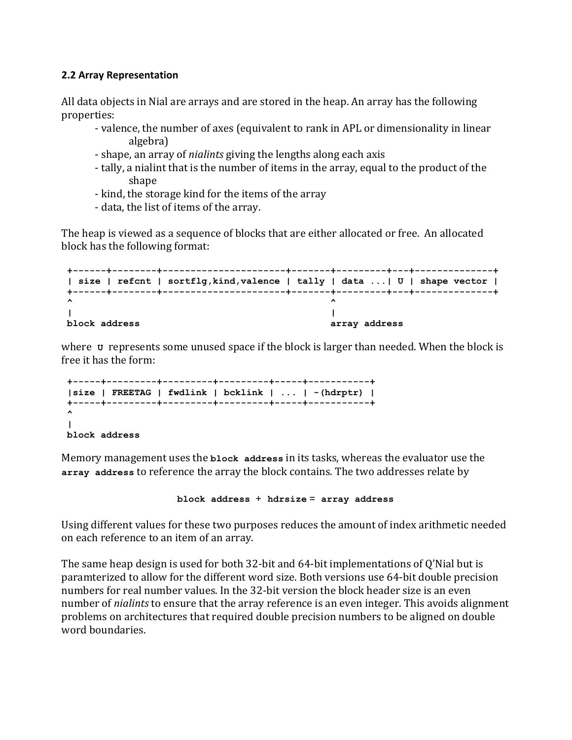#### **2.2 Array Representation**

All data objects in Nial are arrays and are stored in the heap. An array has the following properties:

- valence, the number of axes (equivalent to rank in APL or dimensionality in linear algebra)
- shape, an array of *nialints* giving the lengths along each axis
- tally, a nialint that is the number of items in the array, equal to the product of the shape
- kind, the storage kind for the items of the array
- data, the list of items of the array.

The heap is viewed as a sequence of blocks that are either allocated or free. An allocated block has the following format:

```
+------+--------+----------------------+-------+---------+---+--------------+
| size | refcnt | sortflg,kind,valence | tally | data ...| U | shape vector |
+------+--------+----------------------+-------+---------+---+--------------+
^ ^
| |
block address array address
```
where **v** represents some unused space if the block is larger than needed. When the block is free it has the form:

```
+-----+---------+---------+---------+-----+-----------+
|size | FREETAG | fwdlink | bcklink | ... | -(hdrptr) |
+-----+---------+---------+---------+-----+-----------+
^
|
block address
```
Memory management uses the **block address** in its tasks, whereas the evaluator use the array address to reference the array the block contains. The two addresses relate by

**block address** + **hdrsize** = **array address**

Using different values for these two purposes reduces the amount of index arithmetic needed on each reference to an item of an array.

The same heap design is used for both 32-bit and  $64$ -bit implementations of Q'Nial but is paramterized to allow for the different word size. Both versions use 64-bit double precision numbers for real number values. In the 32-bit version the block header size is an even number of *nialints* to ensure that the array reference is an even integer. This avoids alignment problems on architectures that required double precision numbers to be aligned on double word boundaries.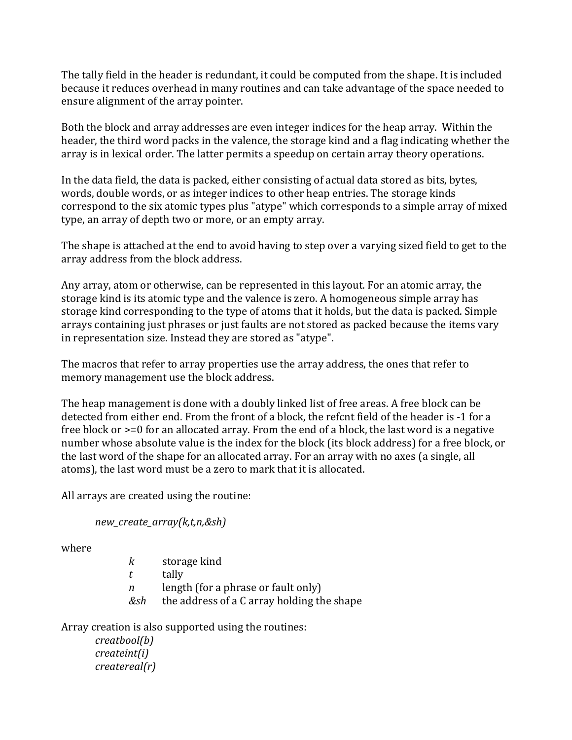The tally field in the header is redundant, it could be computed from the shape. It is included because it reduces overhead in many routines and can take advantage of the space needed to ensure alignment of the array pointer.

Both the block and array addresses are even integer indices for the heap array. Within the header, the third word packs in the valence, the storage kind and a flag indicating whether the array is in lexical order. The latter permits a speedup on certain array theory operations.

In the data field, the data is packed, either consisting of actual data stored as bits, bytes, words, double words, or as integer indices to other heap entries. The storage kinds correspond to the six atomic types plus "atype" which corresponds to a simple array of mixed type, an array of depth two or more, or an empty array.

The shape is attached at the end to avoid having to step over a varying sized field to get to the array address from the block address.

Any array, atom or otherwise, can be represented in this layout. For an atomic array, the storage kind is its atomic type and the valence is zero. A homogeneous simple array has storage kind corresponding to the type of atoms that it holds, but the data is packed. Simple arrays containing just phrases or just faults are not stored as packed because the items vary in representation size. Instead they are stored as "atype".

The macros that refer to array properties use the array address, the ones that refer to memory management use the block address.

The heap management is done with a doubly linked list of free areas. A free block can be detected from either end. From the front of a block, the refcnt field of the header is -1 for a free block or  $\geq$ =0 for an allocated array. From the end of a block, the last word is a negative number whose absolute value is the index for the block (its block address) for a free block, or the last word of the shape for an allocated array. For an array with no axes (a single, all atoms), the last word must be a zero to mark that it is allocated.

All arrays are created using the routine:

```
new_create_array(k,t,n,&sh)
```
where 

*k* storage kind

*t* tally

*n* length (for a phrase or fault only)

*&sh* the address of a C array holding the shape

Array creation is also supported using the routines:

*creatbool(b) createint(i) createreal(r)*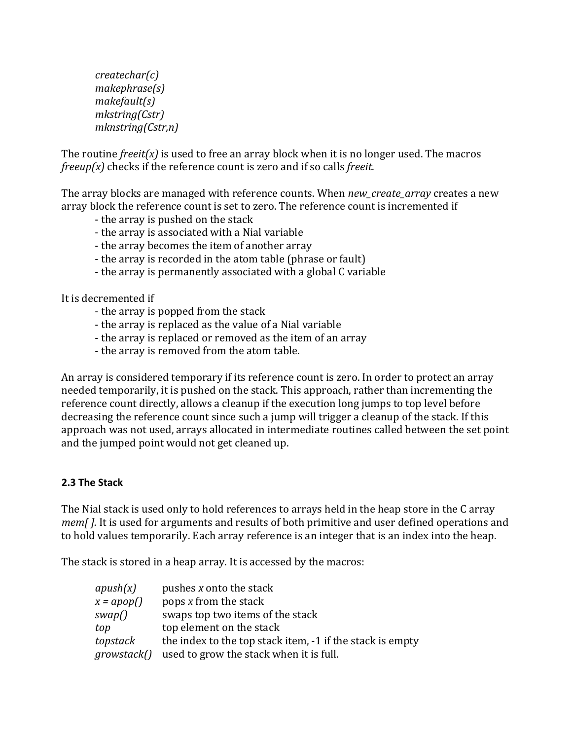*createchar(c) makephrase(s) makefault(s) mkstring(Cstr) mknstring(Cstr,n)*

The routine  $freeit(x)$  is used to free an array block when it is no longer used. The macros *freeup(x)* checks if the reference count is zero and if so calls *freeit*.

The array blocks are managed with reference counts. When *new\_create\_array* creates a new array block the reference count is set to zero. The reference count is incremented if

- the array is pushed on the stack
- the array is associated with a Nial variable
- the array becomes the item of another array
- the array is recorded in the atom table (phrase or fault)
- the array is permanently associated with a global C variable

It is decremented if

- the array is popped from the stack
- the array is replaced as the value of a Nial variable
- the array is replaced or removed as the item of an array
- the array is removed from the atom table.

An array is considered temporary if its reference count is zero. In order to protect an array needed temporarily, it is pushed on the stack. This approach, rather than incrementing the reference count directly, allows a cleanup if the execution long jumps to top level before decreasing the reference count since such a jump will trigger a cleanup of the stack. If this approach was not used, arrays allocated in intermediate routines called between the set point and the jumped point would not get cleaned up.

## **2.3 The Stack**

The Nial stack is used only to hold references to arrays held in the heap store in the C array *mem[].* It is used for arguments and results of both primitive and user defined operations and to hold values temporarily. Each array reference is an integer that is an index into the heap.

The stack is stored in a heap array. It is accessed by the macros:

| apush(x)           | pushes x onto the stack                                   |
|--------------------|-----------------------------------------------------------|
| $x = \alpha pop()$ | pops x from the stack                                     |
| swap()             | swaps top two items of the stack                          |
| top                | top element on the stack                                  |
| topstack           | the index to the top stack item, -1 if the stack is empty |
| growstack()        | used to grow the stack when it is full.                   |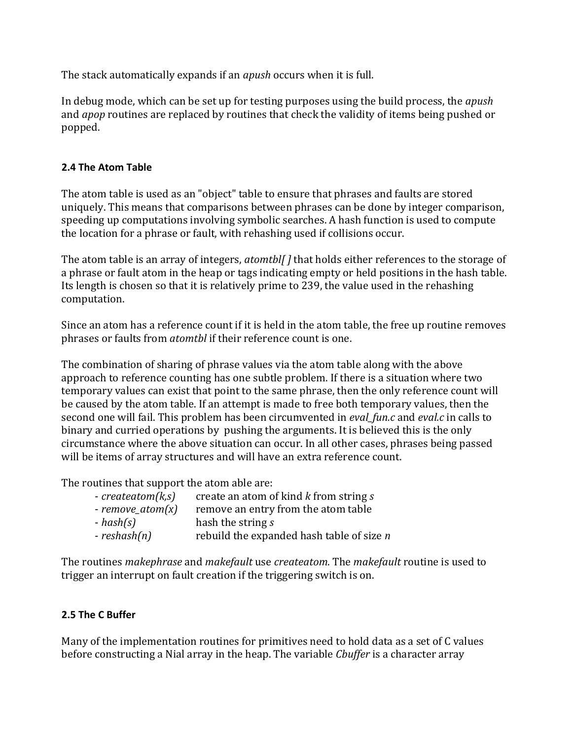The stack automatically expands if an *apush* occurs when it is full.

In debug mode, which can be set up for testing purposes using the build process, the *apush* and *apop* routines are replaced by routines that check the validity of items being pushed or popped.

# **2.4 The Atom Table**

The atom table is used as an "object" table to ensure that phrases and faults are stored uniquely. This means that comparisons between phrases can be done by integer comparison, speeding up computations involving symbolic searches. A hash function is used to compute the location for a phrase or fault, with rehashing used if collisions occur.

The atom table is an array of integers, *atomtbl* [] that holds either references to the storage of a phrase or fault atom in the heap or tags indicating empty or held positions in the hash table. Its length is chosen so that it is relatively prime to 239, the value used in the rehashing computation.

Since an atom has a reference count if it is held in the atom table, the free up routine removes phrases or faults from *atomtbl* if their reference count is one.

The combination of sharing of phrase values via the atom table along with the above approach to reference counting has one subtle problem. If there is a situation where two temporary values can exist that point to the same phrase, then the only reference count will be caused by the atom table. If an attempt is made to free both temporary values, then the second one will fail. This problem has been circumvented in *eval\_fun.c* and *eval.c* in calls to binary and curried operations by pushing the arguments. It is believed this is the only circumstance where the above situation can occur. In all other cases, phrases being passed will be items of array structures and will have an extra reference count.

The routines that support the atom able are:

| $-createatom(k,s)$ | create an atom of kind k from string s    |
|--------------------|-------------------------------------------|
| $-$ remove_atom(x) | remove an entry from the atom table       |
| $-hash(s)$         | hash the string s                         |
| $-reshash(n)$      | rebuild the expanded hash table of size n |

The routines *makephrase* and *makefault* use *createatom*. The *makefault* routine is used to trigger an interrupt on fault creation if the triggering switch is on.

# **2.5 The C Buffer**

Many of the implementation routines for primitives need to hold data as a set of C values before constructing a Nial array in the heap. The variable *Cbuffer* is a character array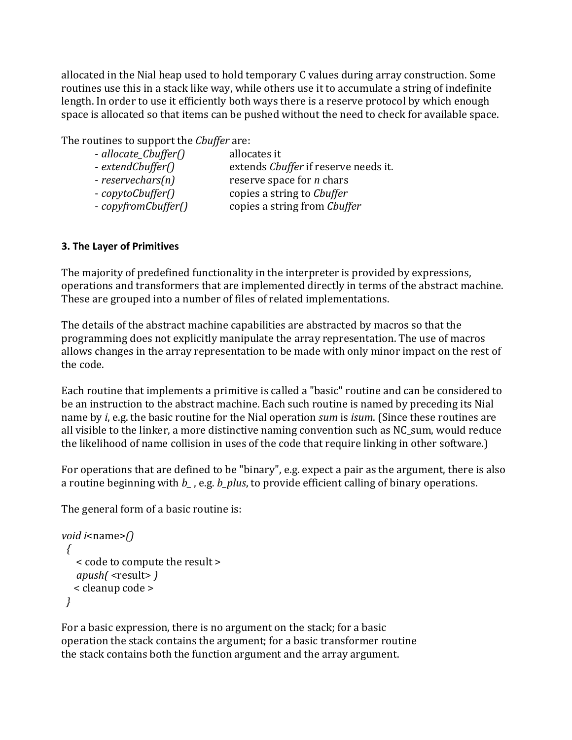allocated in the Nial heap used to hold temporary C values during array construction. Some routines use this in a stack like way, while others use it to accumulate a string of indefinite length. In order to use it efficiently both ways there is a reserve protocol by which enough space is allocated so that items can be pushed without the need to check for available space.

The routines to support the *Cbuffer* are:

| - allocate_Cbuffer() | allocates it                         |
|----------------------|--------------------------------------|
| - extendCbuffer()    | extends Chuffer if reserve needs it. |
| $-reservechars(n)$   | reserve space for <i>n</i> chars     |
| - copytoCbuffer()    | copies a string to <i>Cbuffer</i>    |
| - copyfromCbuffer()  | copies a string from Cbuffer         |
|                      |                                      |

# **3. The Layer of Primitives**

The majority of predefined functionality in the interpreter is provided by expressions, operations and transformers that are implemented directly in terms of the abstract machine. These are grouped into a number of files of related implementations.

The details of the abstract machine capabilities are abstracted by macros so that the programming does not explicitly manipulate the array representation. The use of macros allows changes in the array representation to be made with only minor impact on the rest of the code.

Each routine that implements a primitive is called a "basic" routine and can be considered to be an instruction to the abstract machine. Each such routine is named by preceding its Nial name by *i*, e.g. the basic routine for the Nial operation *sum* is *isum*. (Since these routines are all visible to the linker, a more distinctive naming convention such as NC\_sum, would reduce the likelihood of name collision in uses of the code that require linking in other software.)

For operations that are defined to be "binary", e.g. expect a pair as the argument, there is also a routine beginning with *b<sub>\_</sub>*, e.g. *b\_plus*, to provide efficient calling of binary operations.

The general form of a basic routine is:

```
void i<name>()
		{
   						<	code	to	compute	the	result	>
   apush( <result> )
  					<	cleanup	code	>
		}
```
For a basic expression, there is no argument on the stack; for a basic operation the stack contains the argument; for a basic transformer routine the stack contains both the function argument and the array argument.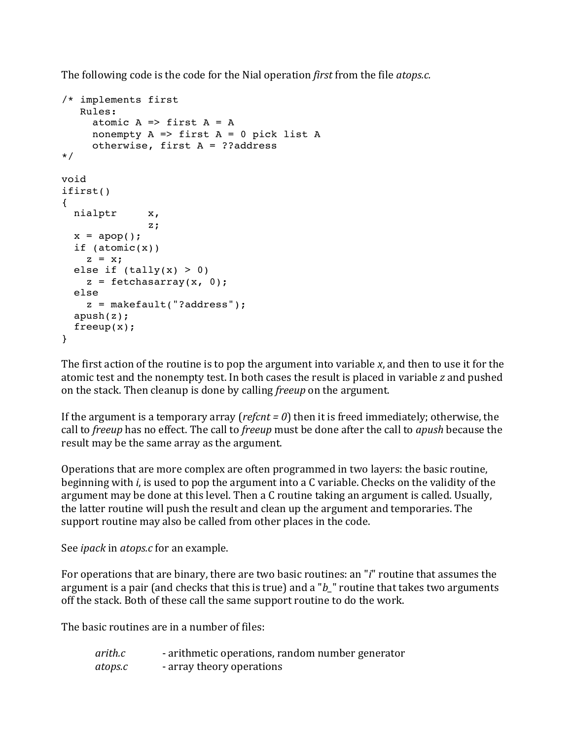The following code is the code for the Nial operation *first* from the file *atops.c.* 

```
/* implements first
    Rules:
     atomic A \Rightarrow first A = Anonempty A \Rightarrow first A = 0 pick list A otherwise, first A = ??address
*/ 
void
ifirst()
{
   nialptr x,
                z;
  x = \text{apop}(); if (atomic(x))
   z = x;
  else if (tally(x) > 0)z = fetchasarray(x, 0); else
    z = makefault("?address");
   apush(z);
   freeup(x);
}
```
The first action of the routine is to pop the argument into variable x, and then to use it for the atomic test and the nonempty test. In both cases the result is placed in variable *z* and pushed on the stack. Then cleanup is done by calling *freeup* on the argument.

If the argument is a temporary array ( $refcnt = 0$ ) then it is freed immediately; otherwise, the call to *freeup* has no effect. The call to *freeup* must be done after the call to *apush* because the result may be the same array as the argument.

Operations that are more complex are often programmed in two layers: the basic routine, beginning with *i*, is used to pop the argument into a C variable. Checks on the validity of the argument may be done at this level. Then a C routine taking an argument is called. Usually, the latter routine will push the result and clean up the argument and temporaries. The support routine may also be called from other places in the code.

See *ipack* in *atops.c* for an example.

For operations that are binary, there are two basic routines: an "*i*" routine that assumes the argument is a pair (and checks that this is true) and a "*b* " routine that takes two arguments off the stack. Both of these call the same support routine to do the work.

The basic routines are in a number of files:

*arith.c* - arithmetic operations, random number generator *atops.c* - array theory operations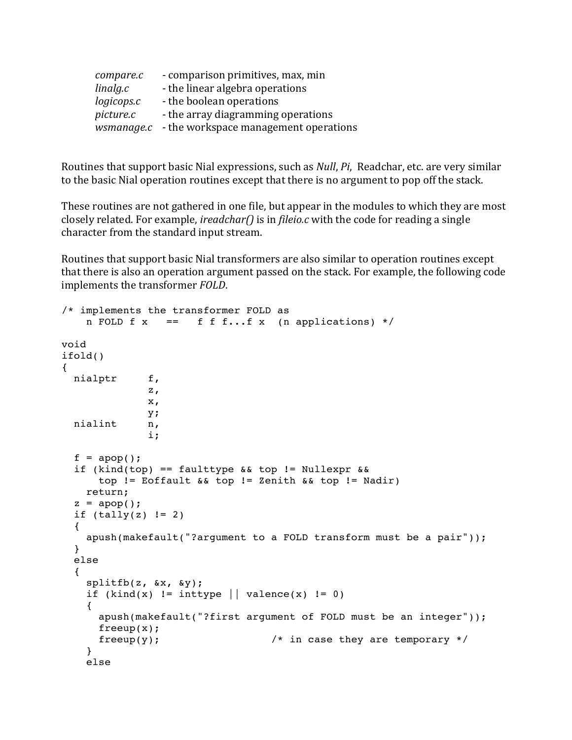| compare.c  | - comparison primitives, max, min     |
|------------|---------------------------------------|
| linalg.c   | - the linear algebra operations       |
| logicops.c | - the boolean operations              |
| picture.c  | - the array diagramming operations    |
| wsmanage.c | - the workspace management operations |

Routines that support basic Nial expressions, such as *Null*, *Pi*, Readchar, etc. are very similar to the basic Nial operation routines except that there is no argument to pop off the stack.

These routines are not gathered in one file, but appear in the modules to which they are most closely related. For example, *ireadchar()* is in *fileio.c* with the code for reading a single character from the standard input stream.

Routines that support basic Nial transformers are also similar to operation routines except that there is also an operation argument passed on the stack. For example, the following code implements the transformer *FOLD*.

```
/* implements the transformer FOLD as
    n FOLD f(x) == f f f...f x (n applications) */
void
ifold()
{
  nialptr f,
\mathbf{z},
               x,
               y;
  nialint n,
               i;
  f = \text{apop}();
  if (kind(top) == faulttype \&\& top != Nullexpr \&\& top != Eoffault && top != Zenith && top != Nadir)
     return;
  z = \text{apop}();
  if (tally(z) != 2) {
     apush(makefault("?argument to a FOLD transform must be a pair"));
   }
   else
   {
     splitfb(z, &x, &y);
    if (kind(x) != inttype || valence(x) != 0)
 {
       apush(makefault("?first argument of FOLD must be an integer"));
       freeup(x);
      freeup(y); /* in case they are temporary */
     }
     else
```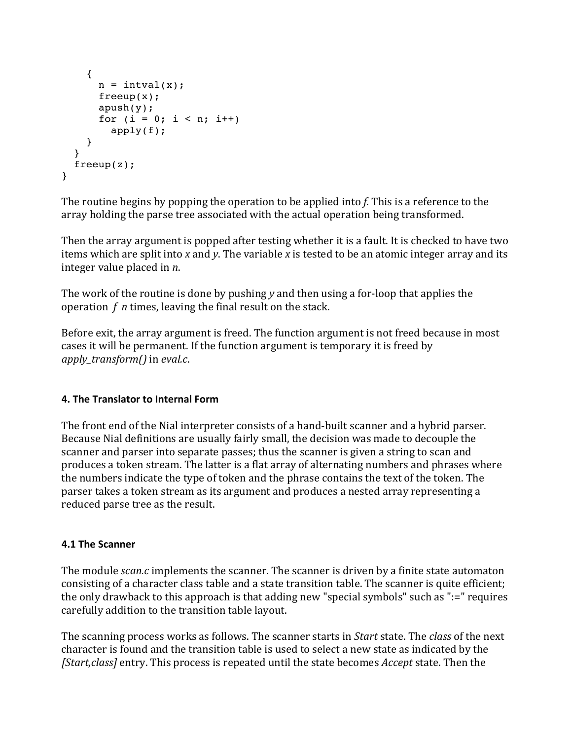```
 {
      n = intval(x);
       freeup(x);
       apush(y);
      for (i = 0; i < n; i++) apply(f);
     }
   }
   freeup(z);
}
```
The routine begins by popping the operation to be applied into f. This is a reference to the array holding the parse tree associated with the actual operation being transformed.

Then the array argument is popped after testing whether it is a fault. It is checked to have two items which are split into *x* and *y*. The variable *x* is tested to be an atomic integer array and its integer value placed in *n*.

The work of the routine is done by pushing *y* and then using a for-loop that applies the operation  $f$  *n* times, leaving the final result on the stack.

Before exit, the array argument is freed. The function argument is not freed because in most cases it will be permanent. If the function argument is temporary it is freed by *apply transform()* in *eval.c.* 

## **4. The Translator to Internal Form**

The front end of the Nial interpreter consists of a hand-built scanner and a hybrid parser. Because Nial definitions are usually fairly small, the decision was made to decouple the scanner and parser into separate passes; thus the scanner is given a string to scan and produces a token stream. The latter is a flat array of alternating numbers and phrases where the numbers indicate the type of token and the phrase contains the text of the token. The parser takes a token stream as its argument and produces a nested array representing a reduced parse tree as the result.

## **4.1 The Scanner**

The module *scan.c* implements the scanner. The scanner is driven by a finite state automaton consisting of a character class table and a state transition table. The scanner is quite efficient; the only drawback to this approach is that adding new "special symbols" such as " $:=$ " requires carefully addition to the transition table layout.

The scanning process works as follows. The scanner starts in *Start* state. The *class* of the next character is found and the transition table is used to select a new state as indicated by the *[Start,class]* entry. This process is repeated until the state becomes *Accept* state. Then the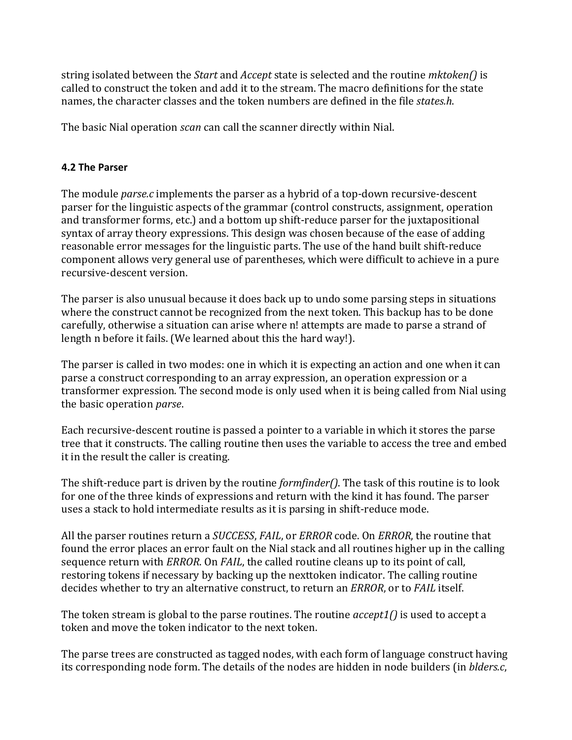string isolated between the *Start* and *Accept* state is selected and the routine *mktoken()* is called to construct the token and add it to the stream. The macro definitions for the state names, the character classes and the token numbers are defined in the file *states.h*.

The basic Nial operation *scan* can call the scanner directly within Nial.

## **4.2 The Parser**

The module *parse.c* implements the parser as a hybrid of a top-down recursive-descent parser for the linguistic aspects of the grammar (control constructs, assignment, operation and transformer forms, etc.) and a bottom up shift-reduce parser for the juxtapositional syntax of array theory expressions. This design was chosen because of the ease of adding reasonable error messages for the linguistic parts. The use of the hand built shift-reduce component allows very general use of parentheses, which were difficult to achieve in a pure recursive-descent version.

The parser is also unusual because it does back up to undo some parsing steps in situations where the construct cannot be recognized from the next token. This backup has to be done carefully, otherwise a situation can arise where n! attempts are made to parse a strand of length n before it fails. (We learned about this the hard way!).

The parser is called in two modes: one in which it is expecting an action and one when it can parse a construct corresponding to an array expression, an operation expression or a transformer expression. The second mode is only used when it is being called from Nial using the basic operation *parse*.

Each recursive-descent routine is passed a pointer to a variable in which it stores the parse tree that it constructs. The calling routine then uses the variable to access the tree and embed it in the result the caller is creating.

The shift-reduce part is driven by the routine *formfinder()*. The task of this routine is to look for one of the three kinds of expressions and return with the kind it has found. The parser uses a stack to hold intermediate results as it is parsing in shift-reduce mode.

All the parser routines return a *SUCCESS*, *FAIL*, or *ERROR* code. On *ERROR*, the routine that found the error places an error fault on the Nial stack and all routines higher up in the calling sequence return with *ERROR*. On *FAIL*, the called routine cleans up to its point of call, restoring tokens if necessary by backing up the nexttoken indicator. The calling routine decides whether to try an alternative construct, to return an *ERROR*, or to *FAIL* itself.

The token stream is global to the parse routines. The routine *accept1()* is used to accept a token and move the token indicator to the next token.

The parse trees are constructed as tagged nodes, with each form of language construct having its corresponding node form. The details of the nodes are hidden in node builders (in *blders.c*,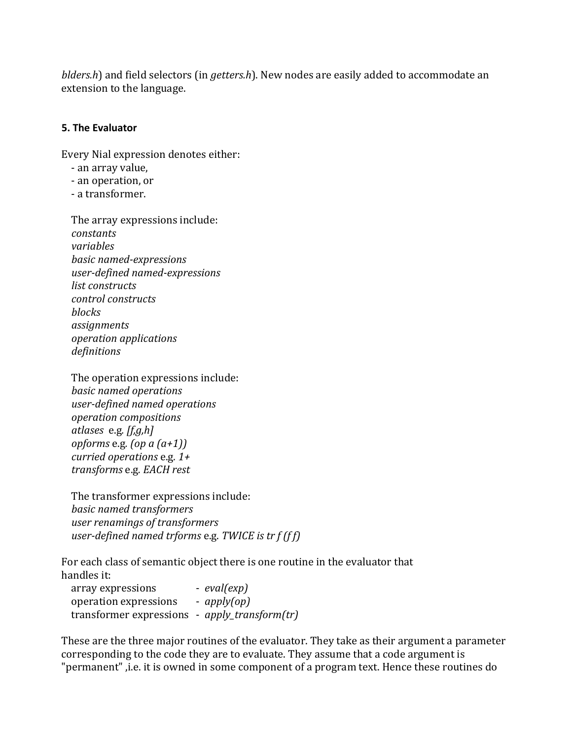*blders.h*) and field selectors (in *getters.h*). New nodes are easily added to accommodate an extension to the language.

#### **5. The Evaluator**

Every Nial expression denotes either:

- an array value,
- - an operation, or
- - a transformer.

The array expressions include: *constants variables basic named-expressions user-defined named-expressions list constructs control constructs blocks assignments operation applications definitions*

The operation expressions include: *basic named operations user-defined named operations operation compositions atlases* e.g*. [f,g,h] opforms* e.g.  $(\omega a \cdot (a+1))$ *curried operations* e.g.  $1+$  *transforms* e.g*. EACH rest*

The transformer expressions include: *basic named transformers user renamings of transformers user-defined named trforms* e.g. *TWICE* is tr *f* (*f f*)

For each class of semantic object there is one routine in the evaluator that handles it:

array expressions - *eval(exp)*  operation expressions - *apply(op)* transformer expressions - *apply\_transform(tr)*

These are the three major routines of the evaluator. They take as their argument a parameter corresponding to the code they are to evaluate. They assume that a code argument is "permanent", i.e. it is owned in some component of a program text. Hence these routines do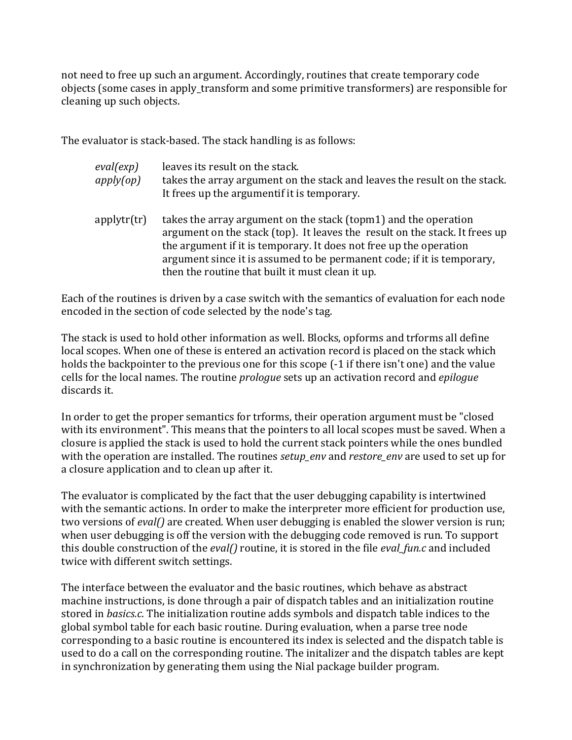not need to free up such an argument. Accordingly, routines that create temporary code objects (some cases in apply transform and some primitive transformers) are responsible for cleaning up such objects.

The evaluator is stack-based. The stack handling is as follows:

| eval(exp)<br>apply(op) | leaves its result on the stack.<br>takes the array argument on the stack and leaves the result on the stack.<br>It frees up the argumentif it is temporary.                                                                                                                                    |
|------------------------|------------------------------------------------------------------------------------------------------------------------------------------------------------------------------------------------------------------------------------------------------------------------------------------------|
| applytr(tr)            | takes the array argument on the stack (topm1) and the operation<br>argument on the stack (top). It leaves the result on the stack. It frees up<br>the argument if it is temporary. It does not free up the operation<br>argument since it is assumed to be permanent code; if it is temporary, |

Each of the routines is driven by a case switch with the semantics of evaluation for each node encoded in the section of code selected by the node's tag.

then the routine that built it must clean it up.

The stack is used to hold other information as well. Blocks, opforms and trforms all define local scopes. When one of these is entered an activation record is placed on the stack which holds the backpointer to the previous one for this scope  $(-1)$  if there isn't one) and the value cells for the local names. The routine *prologue* sets up an activation record and *epilogue* discards it.

In order to get the proper semantics for trforms, their operation argument must be "closed" with its environment". This means that the pointers to all local scopes must be saved. When a closure is applied the stack is used to hold the current stack pointers while the ones bundled with the operation are installed. The routines *setup\_env* and *restore\_env* are used to set up for a closure application and to clean up after it.

The evaluator is complicated by the fact that the user debugging capability is intertwined with the semantic actions. In order to make the interpreter more efficient for production use, two versions of *eval()* are created. When user debugging is enabled the slower version is run; when user debugging is off the version with the debugging code removed is run. To support this double construction of the *eval()* routine, it is stored in the file *eval\_fun.c* and included twice with different switch settings.

The interface between the evaluator and the basic routines, which behave as abstract machine instructions, is done through a pair of dispatch tables and an initialization routine stored in *basics.c*. The initialization routine adds symbols and dispatch table indices to the global symbol table for each basic routine. During evaluation, when a parse tree node corresponding to a basic routine is encountered its index is selected and the dispatch table is used to do a call on the corresponding routine. The initalizer and the dispatch tables are kept in synchronization by generating them using the Nial package builder program.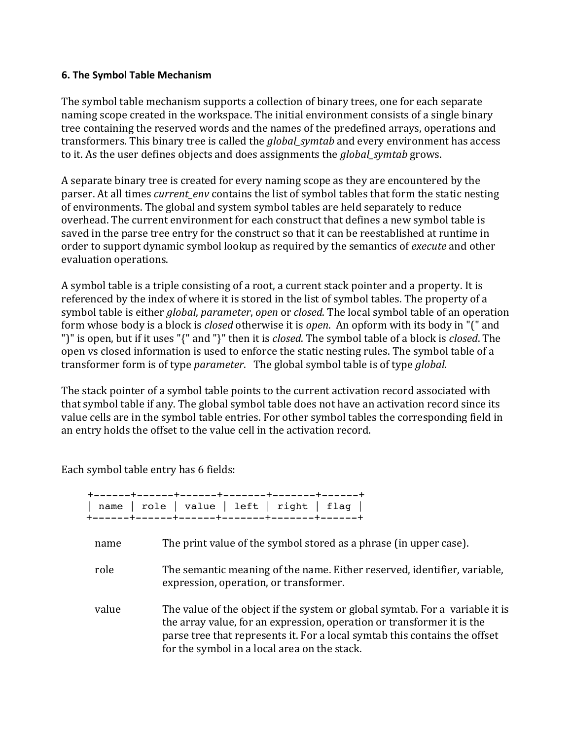#### **6. The Symbol Table Mechanism**

The symbol table mechanism supports a collection of binary trees, one for each separate naming scope created in the workspace. The initial environment consists of a single binary tree containing the reserved words and the names of the predefined arrays, operations and transformers. This binary tree is called the *global* symtab and every environment has access to it. As the user defines objects and does assignments the *global\_symtab* grows.

A separate binary tree is created for every naming scope as they are encountered by the parser. At all times *current env* contains the list of symbol tables that form the static nesting of environments. The global and system symbol tables are held separately to reduce overhead. The current environment for each construct that defines a new symbol table is saved in the parse tree entry for the construct so that it can be reestablished at runtime in order to support dynamic symbol lookup as required by the semantics of *execute* and other evaluation operations.

A symbol table is a triple consisting of a root, a current stack pointer and a property. It is referenced by the index of where it is stored in the list of symbol tables. The property of a symbol table is either *global*, *parameter*, *open* or *closed*. The local symbol table of an operation form whose body is a block is *closed* otherwise it is *open*. An opform with its body in "(" and ")" is open, but if it uses "{" and "}" then it is *closed*. The symbol table of a block is *closed*. The open vs closed information is used to enforce the static nesting rules. The symbol table of a transformer form is of type *parameter*. The global symbol table is of type *global*.

The stack pointer of a symbol table points to the current activation record associated with that symbol table if any. The global symbol table does not have an activation record since its value cells are in the symbol table entries. For other symbol tables the corresponding field in an entry holds the offset to the value cell in the activation record.

Each symbol table entry has 6 fields:

| name  | role   value   left   right   flag                                                                                                                                                                                                                                                   |
|-------|--------------------------------------------------------------------------------------------------------------------------------------------------------------------------------------------------------------------------------------------------------------------------------------|
| name  | The print value of the symbol stored as a phrase (in upper case).                                                                                                                                                                                                                    |
| role  | The semantic meaning of the name. Either reserved, identifier, variable,<br>expression, operation, or transformer.                                                                                                                                                                   |
| value | The value of the object if the system or global symtab. For a variable it is<br>the array value, for an expression, operation or transformer it is the<br>parse tree that represents it. For a local symtab this contains the offset<br>for the symbol in a local area on the stack. |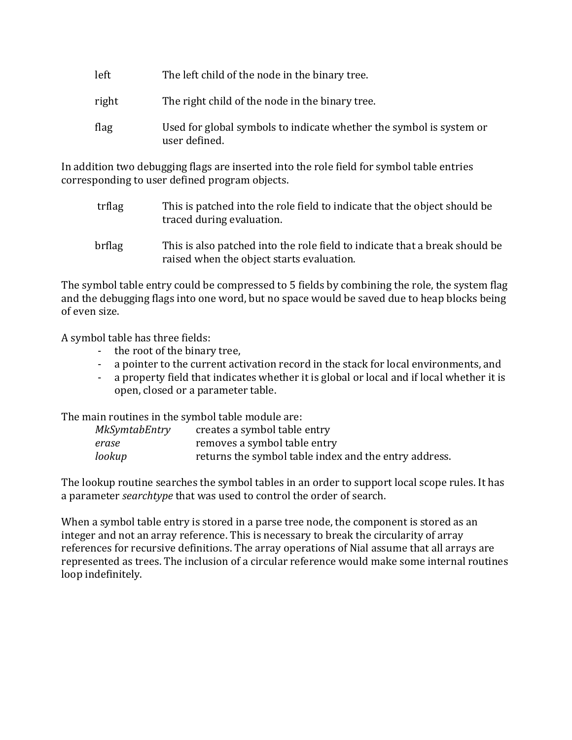| left | The left child of the node in the binary tree. |
|------|------------------------------------------------|
|------|------------------------------------------------|

- right The right child of the node in the binary tree.
- flag Used for global symbols to indicate whether the symbol is system or user defined.

In addition two debugging flags are inserted into the role field for symbol table entries corresponding to user defined program objects.

- trflag This is patched into the role field to indicate that the object should be traced during evaluation.
- brflag This is also patched into the role field to indicate that a break should be raised when the object starts evaluation.

The symbol table entry could be compressed to 5 fields by combining the role, the system flag and the debugging flags into one word, but no space would be saved due to heap blocks being of even size

A symbol table has three fields:

- the root of the binary tree,
- a pointer to the current activation record in the stack for local environments, and
- a property field that indicates whether it is global or local and if local whether it is open, closed or a parameter table.

The main routines in the symbol table module are:

| MkSymtabEntry | creates a symbol table entry                          |
|---------------|-------------------------------------------------------|
| erase         | removes a symbol table entry                          |
| lookup        | returns the symbol table index and the entry address. |

The lookup routine searches the symbol tables in an order to support local scope rules. It has a parameter *searchtype* that was used to control the order of search.

When a symbol table entry is stored in a parse tree node, the component is stored as an integer and not an array reference. This is necessary to break the circularity of array references for recursive definitions. The array operations of Nial assume that all arrays are represented as trees. The inclusion of a circular reference would make some internal routines loop indefinitely.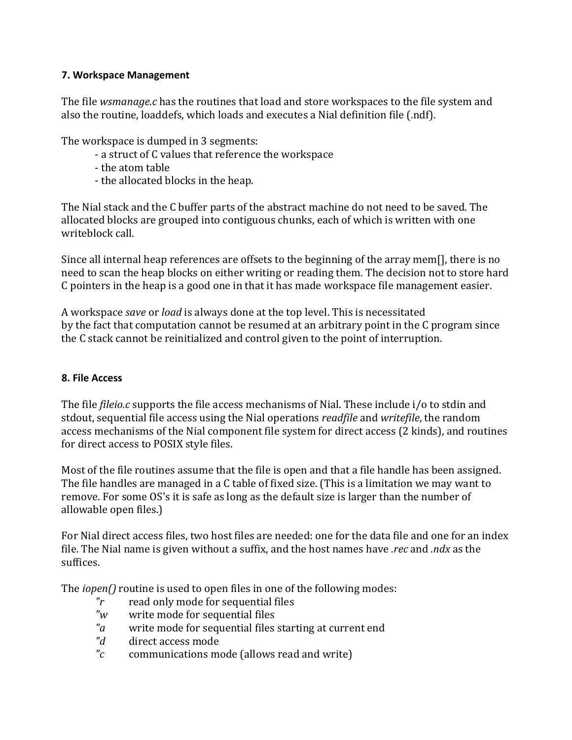## **7. Workspace Management**

The file *wsmanage.c* has the routines that load and store workspaces to the file system and also the routine, loaddefs, which loads and executes a Nial definition file (.ndf).

The workspace is dumped in 3 segments:

- a struct of C values that reference the workspace
- the atom table
- the allocated blocks in the heap.

The Nial stack and the C buffer parts of the abstract machine do not need to be saved. The allocated blocks are grouped into contiguous chunks, each of which is written with one writeblock call.

Since all internal heap references are offsets to the beginning of the array mem[], there is no need to scan the heap blocks on either writing or reading them. The decision not to store hard C pointers in the heap is a good one in that it has made workspace file management easier.

A workspace *save* or *load* is always done at the top level. This is necessitated by the fact that computation cannot be resumed at an arbitrary point in the C program since the C stack cannot be reinitialized and control given to the point of interruption.

# **8. File Access**

The file *fileio.c* supports the file access mechanisms of Nial. These include i/o to stdin and stdout, sequential file access using the Nial operations *readfile* and *writefile*, the random access mechanisms of the Nial component file system for direct access (2 kinds), and routines for direct access to POSIX style files.

Most of the file routines assume that the file is open and that a file handle has been assigned. The file handles are managed in a C table of fixed size. (This is a limitation we may want to remove. For some OS's it is safe as long as the default size is larger than the number of allowable open files.)

For Nial direct access files, two host files are needed: one for the data file and one for an index file. The Nial name is given without a suffix, and the host names have *rec* and *ndx* as the suffices.

The *iopen()* routine is used to open files in one of the following modes:

- *"r* read only mode for sequential files
- *"w* write mode for sequential files
- "a write mode for sequential files starting at current end
- "*d* direct access mode
- "c communications mode (allows read and write)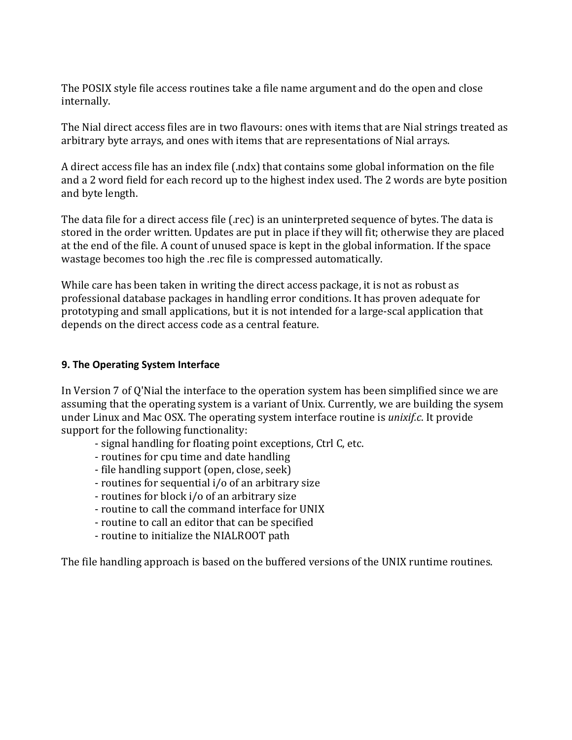The POSIX style file access routines take a file name argument and do the open and close internally.

The Nial direct access files are in two flavours: ones with items that are Nial strings treated as arbitrary byte arrays, and ones with items that are representations of Nial arrays.

A direct access file has an index file  $(.\text{ndx})$  that contains some global information on the file and a 2 word field for each record up to the highest index used. The 2 words are byte position and byte length.

The data file for a direct access file (.rec) is an uninterpreted sequence of bytes. The data is stored in the order written. Updates are put in place if they will fit; otherwise they are placed at the end of the file. A count of unused space is kept in the global information. If the space wastage becomes too high the .rec file is compressed automatically.

While care has been taken in writing the direct access package, it is not as robust as professional database packages in handling error conditions. It has proven adequate for prototyping and small applications, but it is not intended for a large-scal application that depends on the direct access code as a central feature.

#### **9. The Operating System Interface**

In Version 7 of Q'Nial the interface to the operation system has been simplified since we are assuming that the operating system is a variant of Unix. Currently, we are building the sysem under Linux and Mac OSX. The operating system interface routine is *unixif.c*. It provide support for the following functionality:

- signal handling for floating point exceptions, Ctrl C, etc.
- routines for cpu time and date handling
- file handling support (open, close, seek)
- routines for sequential i/o of an arbitrary size
- routines for block i/o of an arbitrary size
- routine to call the command interface for UNIX
- routine to call an editor that can be specified
- routine to initialize the NIALROOT path

The file handling approach is based on the buffered versions of the UNIX runtime routines.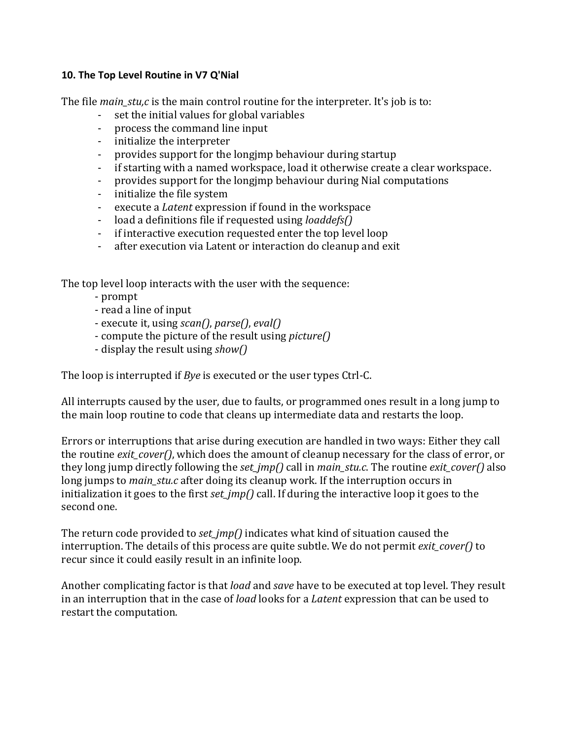#### **10.** The Top Level Routine in V7 Q'Nial

The file *main\_stu<sub>i</sub>c* is the main control routine for the interpreter. It's job is to:

- set the initial values for global variables
- process the command line input
- initialize the interpreter
- provides support for the longjmp behaviour during startup
- if starting with a named workspace, load it otherwise create a clear workspace.
- provides support for the longimp behaviour during Nial computations
- initialize the file system
- execute a *Latent* expression if found in the workspace
- load a definitions file if requested using *loaddefs()*
- if interactive execution requested enter the top level loop
- after execution via Latent or interaction do cleanup and exit

The top level loop interacts with the user with the sequence:

- prompt
- read a line of input
- execute it, using *scan()*, *parse()*, *eval()*
- compute the picture of the result using *picture()*
- display the result using *show*()

The loop is interrupted if *Bye* is executed or the user types Ctrl-C.

All interrupts caused by the user, due to faults, or programmed ones result in a long jump to the main loop routine to code that cleans up intermediate data and restarts the loop.

Errors or interruptions that arise during execution are handled in two ways: Either they call the routine *exit\_cover()*, which does the amount of cleanup necessary for the class of error, or they long jump directly following the *set\_jmp()* call in *main\_stu.c*. The routine *exit\_cover()* also long jumps to *main* stu.c after doing its cleanup work. If the interruption occurs in initialization it goes to the first *set*  $\frac{imp}{\cdot}$  call. If during the interactive loop it goes to the second one.

The return code provided to *set\_jmp()* indicates what kind of situation caused the interruption. The details of this process are quite subtle. We do not permit *exit cover()* to recur since it could easily result in an infinite loop.

Another complicating factor is that *load* and *save* have to be executed at top level. They result in an interruption that in the case of *load* looks for a *Latent* expression that can be used to restart the computation.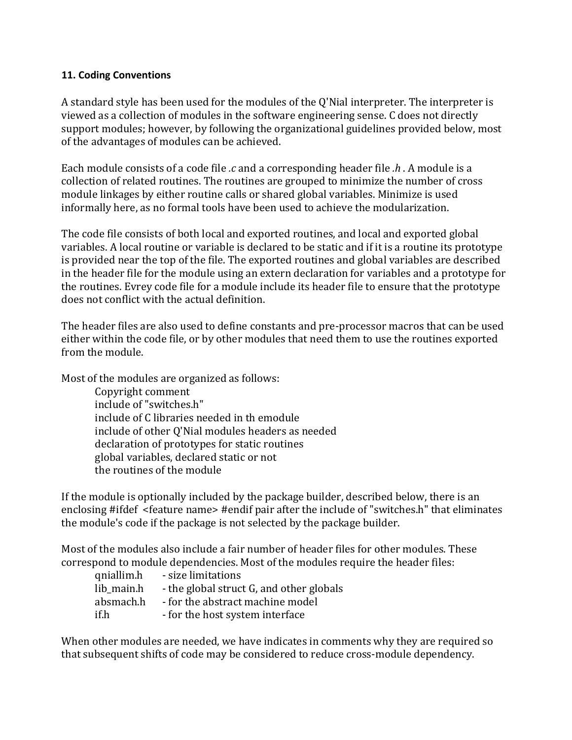#### **11. Coding Conventions**

A standard style has been used for the modules of the Q'Nial interpreter. The interpreter is viewed as a collection of modules in the software engineering sense. C does not directly support modules; however, by following the organizational guidelines provided below, most of the advantages of modules can be achieved.

Each module consists of a code file *c* and a corresponding header file *h* . A module is a collection of related routines. The routines are grouped to minimize the number of cross module linkages by either routine calls or shared global variables. Minimize is used informally here, as no formal tools have been used to achieve the modularization.

The code file consists of both local and exported routines, and local and exported global variables. A local routine or variable is declared to be static and if it is a routine its prototype is provided near the top of the file. The exported routines and global variables are described in the header file for the module using an extern declaration for variables and a prototype for the routines. Evrey code file for a module include its header file to ensure that the prototype does not conflict with the actual definition.

The header files are also used to define constants and pre-processor macros that can be used either within the code file, or by other modules that need them to use the routines exported from the module.

Most of the modules are organized as follows:

Copyright comment include of "switches.h" include of C libraries needed in th emodule include of other O'Nial modules headers as needed declaration of prototypes for static routines global variables, declared static or not the routines of the module

If the module is optionally included by the package builder, described below, there is an enclosing #ifdef <feature name> #endif pair after the include of "switches.h" that eliminates the module's code if the package is not selected by the package builder.

Most of the modules also include a fair number of header files for other modules. These correspond to module dependencies. Most of the modules require the header files:

| qniallim.h | - size limitations                       |
|------------|------------------------------------------|
| lib main.h | - the global struct G, and other globals |
| absmach.h  | - for the abstract machine model         |
| if.h       | - for the host system interface          |

When other modules are needed, we have indicates in comments why they are required so that subsequent shifts of code may be considered to reduce cross-module dependency.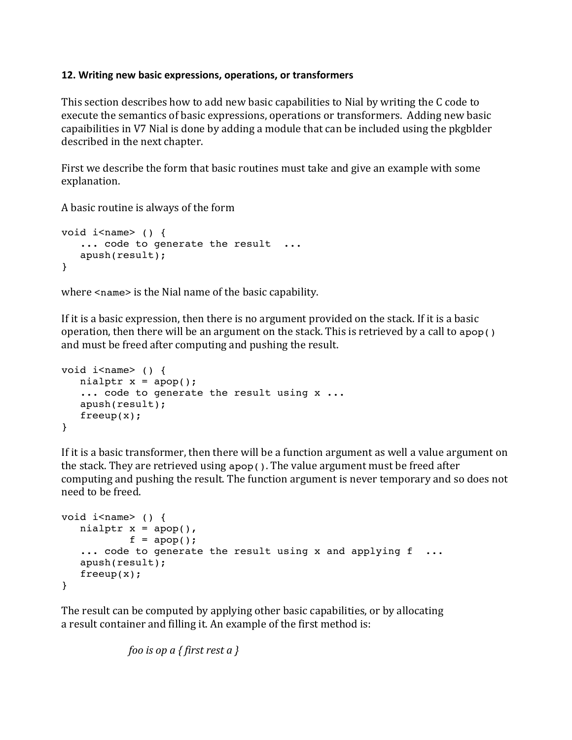#### **12. Writing new basic expressions, operations, or transformers**

This section describes how to add new basic capabilities to Nial by writing the C code to execute the semantics of basic expressions, operations or transformers. Adding new basic capaibilities in V7 Nial is done by adding a module that can be included using the pkgblder described in the next chapter.

First we describe the form that basic routines must take and give an example with some explanation. 

A basic routine is always of the form

```
void i<name> () {
   ... code to generate the result ...
   apush(result);
}
```
where  $\le$ name $>$  is the Nial name of the basic capability.

If it is a basic expression, then there is no argument provided on the stack. If it is a basic operation, then there will be an argument on the stack. This is retrieved by a call to apop() and must be freed after computing and pushing the result.

```
void i<name> () {
   nialptr x = apop();
   ... code to generate the result using x ...
    apush(result);
   freeup(x);
}
```
If it is a basic transformer, then there will be a function argument as well a value argument on the stack. They are retrieved using apop(). The value argument must be freed after computing and pushing the result. The function argument is never temporary and so does not need to be freed.

```
void i<name> () {
   nialptr x = apop(),
           f = \text{apop}();
   ... code to generate the result using x and applying f
    apush(result);
    freeup(x);
}
```
The result can be computed by applying other basic capabilities, or by allocating a result container and filling it. An example of the first method is:

```
foo is op a { first rest a }
```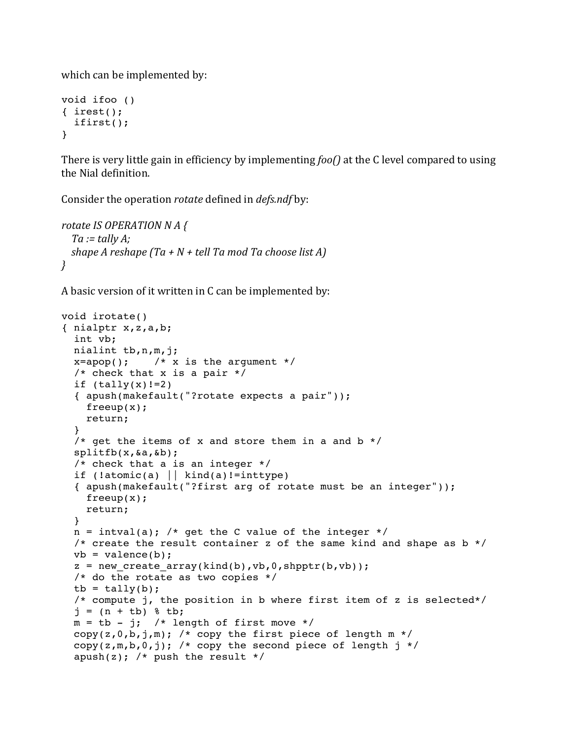which can be implemented by:

```
void ifoo ()
{ irest();
   ifirst();
}
```
There is very little gain in efficiency by implementing *foo()* at the C level compared to using the Nial definition.

Consider the operation *rotate* defined in *defs.ndf* by:

```
rotate IS OPERATION N A {
  Ta := tally A;
  shape A reshape (Ta + N + tell Ta mod Ta choose list A)
}
```
A basic version of it written in C can be implemented by:

```
void irotate()
{ nialptr x,z,a,b;
   int vb;
   nialint tb,n,m,j;
  x=apop(); /* x is the argument */
   /* check that x is a pair */
  if (tally(x) != 2) { apush(makefault("?rotate expects a pair"));
     freeup(x);
     return;
   }
  /* get the items of x and store them in a and b \cdot \frac{1}{2} splitfb(x,&a,&b);
   /* check that a is an integer */
  if (!atomic(a) || kind(a)!=inttype)
   { apush(makefault("?first arg of rotate must be an integer"));
     freeup(x);
     return;
   }
  n = intval(a); /* get the C value of the integer */
  /* create the result container z of the same kind and shape as b \cdot \frac{1}{2}vb = valence(b);
  z = new create array(kind(b),vb,0,shptr(b,vb)); /* do the rotate as two copies */
  tb = tally(b); /* compute j, the position in b where first item of z is selected*/
  j = (n + tb) % tb;
  m = tb - j; /* length of first move */
  copy(z,0,b,j,m); /* copy the first piece of length m \times/copy(z,m,b,0,j); /* copy the second piece of length j */
  apush(z); /* push the result */
```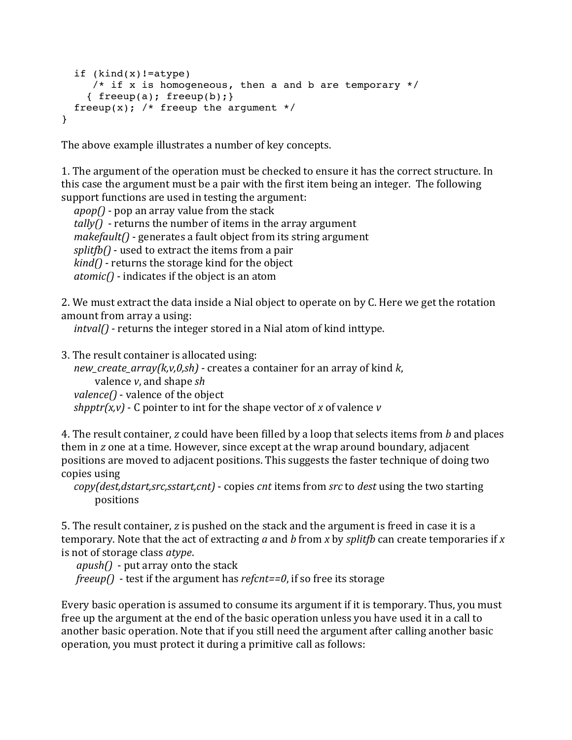```
 if (kind(x)!=atype)
     /* if x is homogeneous, then a and b are temporary */
    { freeup(a); freeup(b); }
  freeup(x); /* freeup the argument */}
```
The above example illustrates a number of key concepts.

1. The argument of the operation must be checked to ensure it has the correct structure. In this case the argument must be a pair with the first item being an integer. The following support functions are used in testing the argument:

 $apop()$  - pop an array value from the stack  $tally()$  - returns the number of items in the array argument *makefault()* - generates a fault object from its string argument *splitfb()* - used to extract the items from a pair  $\text{kind}()$  - returns the storage kind for the object  $atomic()$  - indicates if the object is an atom

2. We must extract the data inside a Nial object to operate on by C. Here we get the rotation amount from array a using:

*intval()* - returns the integer stored in a Nial atom of kind inttype.

3. The result container is allocated using:

*new create array(k,v,0,sh)* - creates a container for an array of kind *k*, valence *v*, and shape *sh valence()* - valence of the object *shpptr(x,v)* - C pointer to int for the shape vector of *x* of valence *v* 

4. The result container, *z* could have been filled by a loop that selects items from *b* and places them in *z* one at a time. However, since except at the wrap around boundary, adjacent positions are moved to adjacent positions. This suggests the faster technique of doing two copies using

```
copy(dest,dstart,src,sstart,cnt) - copies cnt items from src to dest using the two starting
    positions
```
5. The result container, *z* is pushed on the stack and the argument is freed in case it is a temporary. Note that the act of extracting *a* and *b* from *x* by *splitfb* can create temporaries if *x* is not of storage class *atype*.

*apush()* - put array onto the stack *freeup()* - test if the argument has *refcnt==0*, if so free its storage

Every basic operation is assumed to consume its argument if it is temporary. Thus, you must free up the argument at the end of the basic operation unless you have used it in a call to another basic operation. Note that if you still need the argument after calling another basic operation, you must protect it during a primitive call as follows: